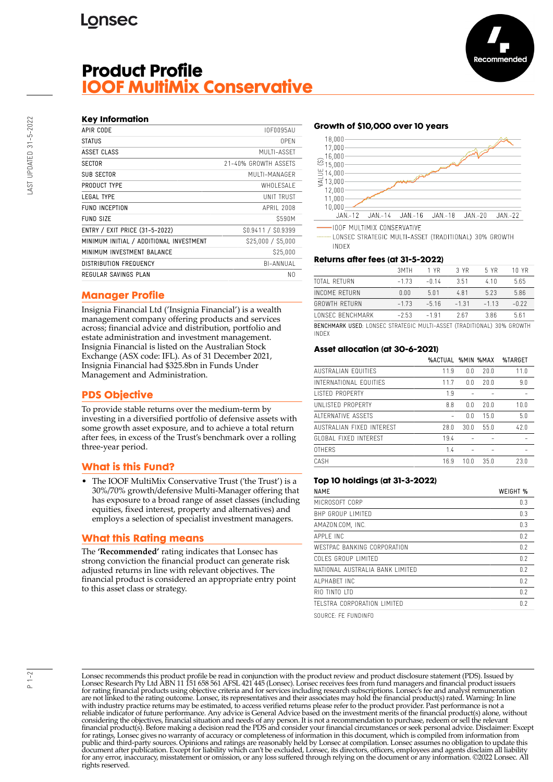# **Lonsec**

# **Product Profile IOOF MultiMix Conservative**



| APIR CODE                               | <b>IOF0095AU</b>     |
|-----------------------------------------|----------------------|
| <b>STATUS</b>                           | 0PFN                 |
| ASSET CLASS                             | MUITI-ASSFT          |
| <b>SECTOR</b>                           | 21-40% GROWTH ASSFTS |
| SUB SECTOR                              | MUITI-MANAGER        |
| PRODUCT TYPE                            | WHOI FSAI F          |
| <b>LEGAL TYPE</b>                       | <b>UNIT TRUST</b>    |
| <b>FUND INCEPTION</b>                   | APRII 2008           |
| <b>FUND SIZE</b>                        | <b>S590M</b>         |
| ENTRY / EXIT PRICE (31-5-2022)          | S0.9411 / S0.9399    |
| MINIMUM INITIAL / ADDITIONAL INVESTMENT | \$25,000 / \$5,000   |
| MINIMUM INVESTMENT BALANCE              | \$25,000             |
| <b>DISTRIBUTION FREQUENCY</b>           | BI-ANNUAL            |
| REGULAR SAVINGS PLAN                    | N0                   |

### **Manager Profile**

Insignia Financial Ltd ('Insignia Financial') is a wealth management company offering products and services across; financial advice and distribution, portfolio and estate administration and investment management. Insignia Financial is listed on the Australian Stock Exchange (ASX code: IFL). As of 31 December 2021, Insignia Financial had \$325.8bn in Funds Under Management and Administration.

### **PDS Objective**

To provide stable returns over the medium-term by investing in a diversified portfolio of defensive assets with some growth asset exposure, and to achieve a total return after fees, in excess of the Trust's benchmark over a rolling three-year period.

### **What is this Fund?**

• The IOOF MultiMix Conservative Trust ('the Trust') is a 30%/70% growth/defensive Multi-Manager offering that has exposure to a broad range of asset classes (including equities, fixed interest, property and alternatives) and employs a selection of specialist investment managers.

### **What this Rating means**

The **'Recommended'** rating indicates that Lonsec has strong conviction the financial product can generate risk adjusted returns in line with relevant objectives. The financial product is considered an appropriate entry point to this asset class or strategy.

#### **Growth of \$10,000 over 10 years**



**IOOF MULTIMIX CONSERVATIVE** 

LONSEC STRATEGIC MULTI-ASSET (TRADITIONAL) 30% GROWTH **INDEX** 

#### **Returns after fees (at 31-5-2022)**

|                                                                         | 3MTH    | 1 YR    | 3 YR    | 5 YR   | 10 YR   |
|-------------------------------------------------------------------------|---------|---------|---------|--------|---------|
| TOTAL RETURN                                                            | $-1.73$ | -0.14   | 3.51    | 410    | 5.65    |
| INCOME RETURN                                                           | 0.00    | 501     | 481     | 523    | 5.86    |
| GROWTH RFTURN                                                           | $-173$  | $-5.16$ | $-1.31$ | $-113$ | $-0.22$ |
| <b><i>LONSEC BENCHMARK</i></b>                                          | $-2.53$ | $-191$  | 267     | 386    | 5.61    |
| RENCHMARK LISED. LONSEC STRATEGIC MILITI-ASSET (TRADITIONAL) 30% GROWTH |         |         |         |        |         |

BENCHMARK USED: LONSEC STRATEGIC MULTI-ASSET (TRADITIONAL) 30% GROWTH INDEX

#### **Asset allocation (at 30-6-2021)**

|      |      |      | %TARGET                  |
|------|------|------|--------------------------|
| 11.9 | 0.0  | 20.0 | 11.0                     |
| 11.7 | 0.0  | 20.0 | 9.0                      |
| 1.9  |      |      |                          |
| 8.8  | 0.0  | 20.0 | 10.0                     |
|      | 0.0  | 15.0 | 5.0                      |
| 28.0 | 30.0 | 55.0 | 42.0                     |
| 19.4 |      |      |                          |
| 1.4  |      |      |                          |
| 16.9 | 10.0 | 35.0 | 23.0                     |
|      |      |      | <b>%ACTUAL %MIN %MAX</b> |

#### **Top 10 holdings (at 31-3-2022)**

| <b>NAME</b>                     | WEIGHT % |
|---------------------------------|----------|
| MICROSOFT CORP                  | 0.3      |
| BHP GROUP LIMITED               | 0.3      |
| AMAZON.COM, INC.                | 0.3      |
| APPI F INC                      | 0.2      |
| WESTPAC BANKING CORPORATION     | 0.2      |
| COLES GROUP LIMITED             | 0.2      |
| NATIONAL AUSTRALIA BANK LIMITED | 0.2      |
| AI PHARFT INC                   | 0.2      |
| RIO TINTO ITD                   | 0.2      |
| TELSTRA CORPORATION LIMITED     | 0.2      |

SOURCE: FE FUNDINFO

Lonsec recommends this product profile be read in conjunction with the product review and product disclosure statement (PDS). Issued by Lonsec Research Pty Ltd ABN 11 151 658 561 AFSL 421 445 (Lonsec). Lonsec receives fees from fund managers and financial product issuers for rating financial products using objective criteria and for services including research subscriptions. Lonsec's fee and analyst remuneration are not linked to the rating outcome. Lonsec, its representatives and their associates may hold the financial product(s) rated. Warning: In line with industry practice returns may be estimated, to access verified returns please refer to the product provider. Past performance is not a reliable indicator of future performance. Any advice is General Advice based on the investment merits of the financial product(s) alone, without considering the objectives, financial situation and needs of any person. It is not a recommendation to purchase, redeem or sell the relevant<br>financial product(s). Before making a decision read the PDS and consider your fin public and third-party sources. Opinions and ratings are reasonably held by Lonsec at compilation. Lonsec assumes no obligation to update this document after publication. Except for liability which can't be excluded, Lonsec, its directors, officers, employees and agents disclaim all liability for any error, inaccuracy, misstatement or omission, or any loss suffered through relying on the document or any information. ©2022 Lonsec. All rights reserved.